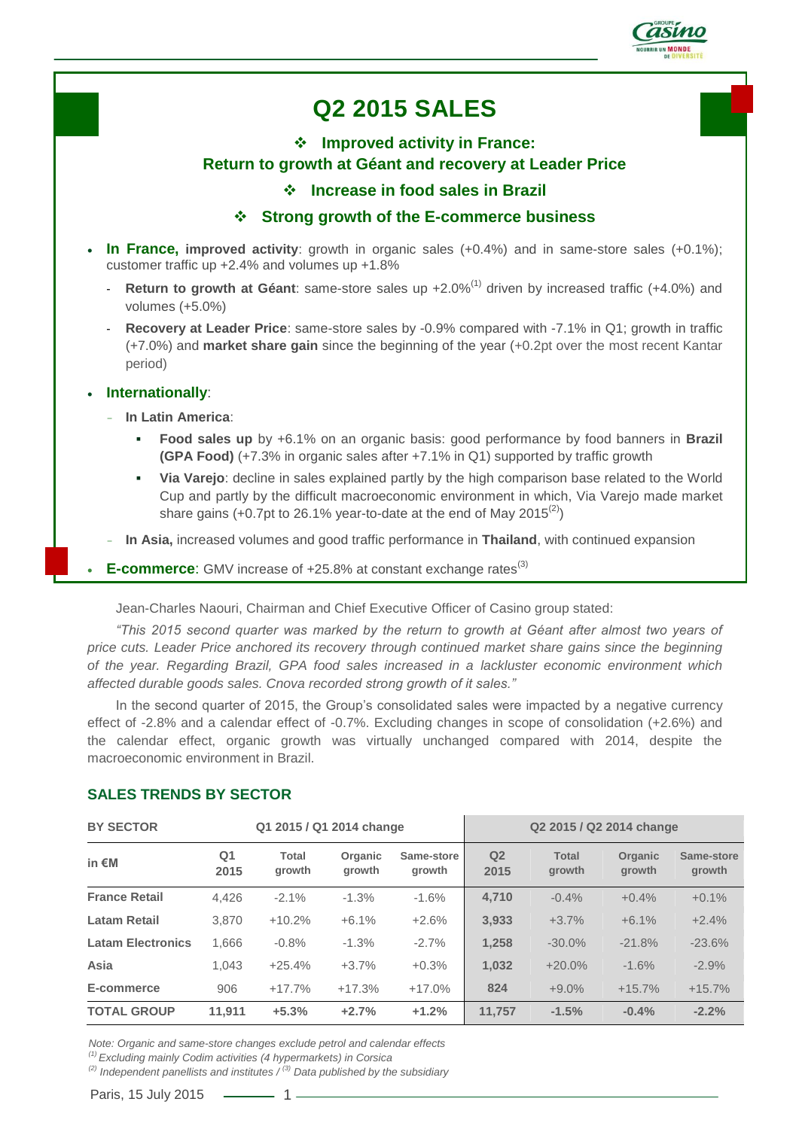

# **Q2 2015 SALES**

## **Improved activity in France: Return to growth at Géant and recovery at Leader Price Increase in food sales in Brazil**

### **Strong growth of the E-commerce business**

- **In France, improved activity**: growth in organic sales (+0.4%) and in same-store sales (+0.1%); customer traffic up +2.4% and volumes up +1.8%
	- **Return to growth at Géant**: same-store sales up +2.0%<sup>(1)</sup> driven by increased traffic (+4.0%) and volumes (+5.0%)
	- **Recovery at Leader Price**: same-store sales by -0.9% compared with -7.1% in Q1; growth in traffic (+7.0%) and **market share gain** since the beginning of the year (+0.2pt over the most recent Kantar period)

#### **Internationally**:

- **In Latin America**:
	- **Food sales up** by +6.1% on an organic basis: good performance by food banners in **Brazil (GPA Food)** (+7.3% in organic sales after +7.1% in Q1) supported by traffic growth
	- **Via Varejo**: decline in sales explained partly by the high comparison base related to the World Cup and partly by the difficult macroeconomic environment in which, Via Varejo made market share gains (+0.7pt to 26.1% year-to-date at the end of May 2015 $^{(2)}$ )
- **In Asia,** increased volumes and good traffic performance in **Thailand**, with continued expansion
- **E-commerce:** GMV increase of +25.8% at constant exchange rates<sup>(3)</sup>

Jean-Charles Naouri, Chairman and Chief Executive Officer of Casino group stated:

*"This 2015 second quarter was marked by the return to growth at Géant after almost two years of price cuts. Leader Price anchored its recovery through continued market share gains since the beginning of the year. Regarding Brazil, GPA food sales increased in a lackluster economic environment which affected durable goods sales. Cnova recorded strong growth of it sales."*

In the second quarter of 2015, the Group's consolidated sales were impacted by a negative currency effect of -2.8% and a calendar effect of -0.7%. Excluding changes in scope of consolidation (+2.6%) and the calendar effect, organic growth was virtually unchanged compared with 2014, despite the macroeconomic environment in Brazil.

| <b>BY SECTOR</b><br>Q1 2015 / Q1 2014 change |            |                        |                   | Q2 2015 / Q2 2014 change |                        |                        |                   |                      |
|----------------------------------------------|------------|------------------------|-------------------|--------------------------|------------------------|------------------------|-------------------|----------------------|
| in $\notin M$                                | Q1<br>2015 | <b>Total</b><br>growth | Organic<br>growth | Same-store<br>growth     | Q <sub>2</sub><br>2015 | <b>Total</b><br>growth | Organic<br>growth | Same-store<br>growth |
| <b>France Retail</b>                         | 4,426      | $-2.1%$                | $-1.3%$           | $-1.6%$                  | 4.710                  | $-0.4%$                | $+0.4%$           | $+0.1%$              |
| <b>Latam Retail</b>                          | 3,870      | $+10.2%$               | $+6.1%$           | $+2.6%$                  | 3,933                  | $+3.7%$                | $+6.1%$           | $+2.4%$              |
| <b>Latam Electronics</b>                     | 1.666      | $-0.8%$                | $-1.3%$           | $-2.7%$                  | 1,258                  | $-30.0\%$              | $-21.8%$          | $-23.6%$             |
| Asia                                         | 1,043      | $+25.4%$               | $+3.7%$           | $+0.3%$                  | 1,032                  | $+20.0%$               | $-1.6%$           | $-2.9%$              |
| E-commerce                                   | 906        | $+17.7%$               | $+17.3%$          | $+17.0%$                 | 824                    | $+9.0%$                | $+15.7%$          | $+15.7%$             |
| <b>TOTAL GROUP</b>                           | 11.911     | $+5.3%$                | $+2.7%$           | $+1.2%$                  | 11.757                 | $-1.5%$                | $-0.4%$           | $-2.2%$              |

#### **SALES TRENDS BY SECTOR**

*Note: Organic and same-store changes exclude petrol and calendar effects*

*(1) Excluding mainly Codim activities (4 hypermarkets) in Corsica*

*(2) Independent panellists and institutes / (3) Data published by the subsidiary*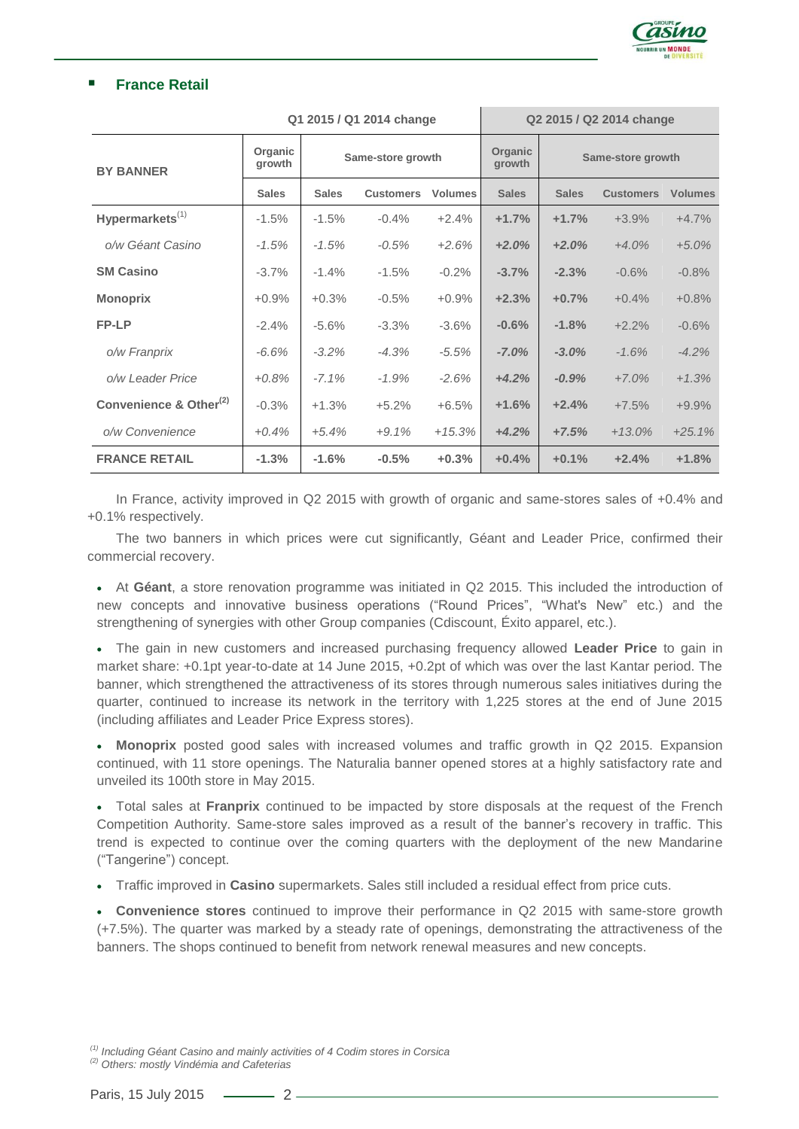

#### **France Retail**

| Q1 2015 / Q1 2014 change           |                   |                   |                  |                | Q2 2015 / Q2 2014 change |                   |                  |                |
|------------------------------------|-------------------|-------------------|------------------|----------------|--------------------------|-------------------|------------------|----------------|
| <b>BY BANNER</b>                   | Organic<br>growth | Same-store growth |                  |                | Organic<br>growth        | Same-store growth |                  |                |
|                                    | <b>Sales</b>      | <b>Sales</b>      | <b>Customers</b> | <b>Volumes</b> | <b>Sales</b>             | <b>Sales</b>      | <b>Customers</b> | <b>Volumes</b> |
| Hypermarkets <sup>(1)</sup>        | $-1.5%$           | $-1.5%$           | $-0.4%$          | $+2.4%$        | $+1.7%$                  | $+1.7%$           | $+3.9%$          | $+4.7%$        |
| o/w Géant Casino                   | $-1.5%$           | $-1.5%$           | $-0.5%$          | $+2.6%$        | $+2.0%$                  | $+2.0%$           | $+4.0%$          | $+5.0%$        |
| <b>SM Casino</b>                   | $-3.7%$           | $-1.4%$           | $-1.5%$          | $-0.2%$        | $-3.7%$                  | $-2.3%$           | $-0.6%$          | $-0.8%$        |
| <b>Monoprix</b>                    | $+0.9%$           | $+0.3%$           | $-0.5%$          | $+0.9%$        | $+2.3%$                  | $+0.7%$           | $+0.4%$          | $+0.8%$        |
| FP-LP                              | $-2.4%$           | $-5.6%$           | $-3.3%$          | $-3.6%$        | $-0.6%$                  | $-1.8%$           | $+2.2%$          | $-0.6%$        |
| o/w Franprix                       | $-6.6%$           | $-3.2%$           | $-4.3%$          | $-5.5%$        | $-7.0%$                  | $-3.0%$           | $-1.6%$          | $-4.2%$        |
| o/w Leader Price                   | $+0.8%$           | $-7.1%$           | $-1.9%$          | $-2.6%$        | $+4.2%$                  | $-0.9%$           | $+7.0%$          | $+1.3%$        |
| Convenience & Other <sup>(2)</sup> | $-0.3%$           | $+1.3%$           | $+5.2%$          | $+6.5%$        | $+1.6%$                  | $+2.4%$           | $+7.5%$          | $+9.9%$        |
| o/w Convenience                    | $+0.4%$           | $+5.4%$           | $+9.1%$          | $+15.3%$       | $+4.2%$                  | $+7.5%$           | $+13.0\%$        | $+25.1%$       |
| <b>FRANCE RETAIL</b>               | $-1.3%$           | $-1.6%$           | $-0.5%$          | $+0.3%$        | $+0.4%$                  | $+0.1%$           | $+2.4%$          | $+1.8%$        |

In France, activity improved in Q2 2015 with growth of organic and same-stores sales of +0.4% and +0.1% respectively.

The two banners in which prices were cut significantly. Géant and Leader Price, confirmed their commercial recovery.

 At **Géant**, a store renovation programme was initiated in Q2 2015. This included the introduction of new concepts and innovative business operations ("Round Prices", "What's New" etc.) and the strengthening of synergies with other Group companies (Cdiscount, Éxito apparel, etc.).

 The gain in new customers and increased purchasing frequency allowed **Leader Price** to gain in market share: +0.1pt year-to-date at 14 June 2015, +0.2pt of which was over the last Kantar period. The banner, which strengthened the attractiveness of its stores through numerous sales initiatives during the quarter, continued to increase its network in the territory with 1,225 stores at the end of June 2015 (including affiliates and Leader Price Express stores).

 **Monoprix** posted good sales with increased volumes and traffic growth in Q2 2015. Expansion continued, with 11 store openings. The Naturalia banner opened stores at a highly satisfactory rate and unveiled its 100th store in May 2015.

 Total sales at **Franprix** continued to be impacted by store disposals at the request of the French Competition Authority. Same-store sales improved as a result of the banner's recovery in traffic. This trend is expected to continue over the coming quarters with the deployment of the new Mandarine ("Tangerine") concept.

Traffic improved in **Casino** supermarkets. Sales still included a residual effect from price cuts.

 **Convenience stores** continued to improve their performance in Q2 2015 with same-store growth (+7.5%). The quarter was marked by a steady rate of openings, demonstrating the attractiveness of the banners. The shops continued to benefit from network renewal measures and new concepts.

*(1) Including Géant Casino and mainly activities of 4 Codim stores in Corsica (2) Others: mostly Vindémia and Cafeterias*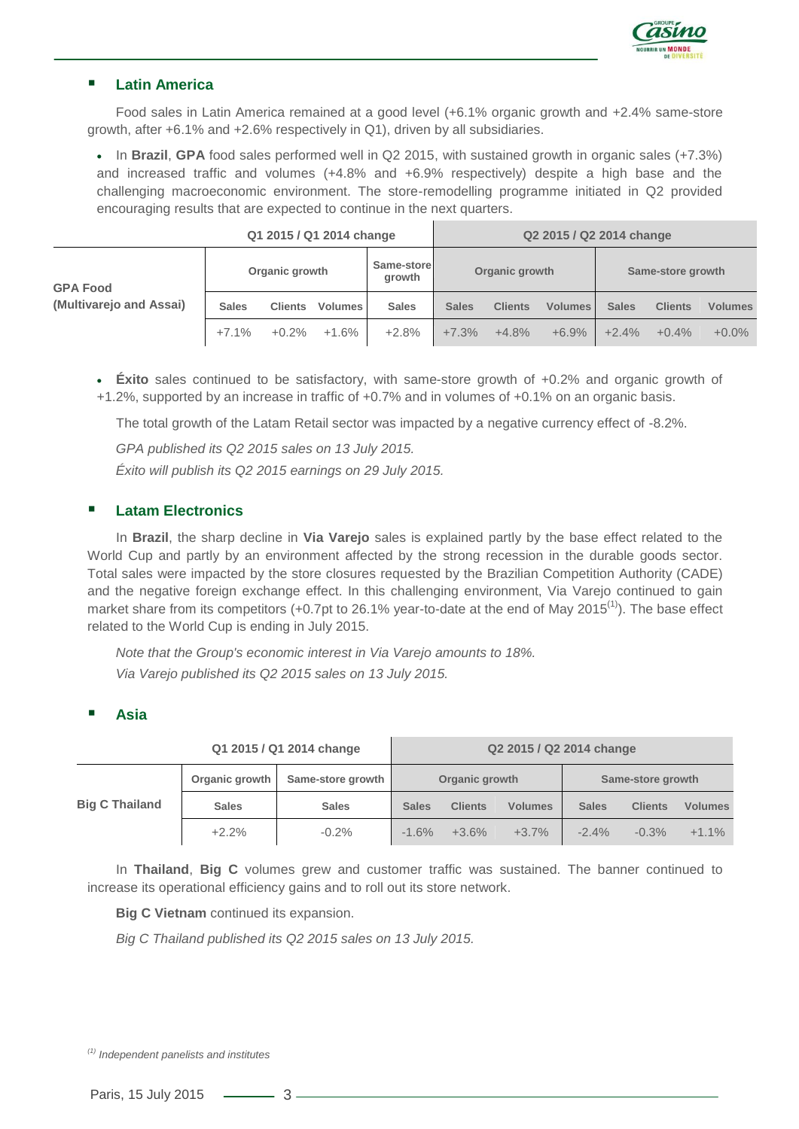

### **Latin America**

Food sales in Latin America remained at a good level (+6.1% organic growth and +2.4% same-store growth, after +6.1% and +2.6% respectively in Q1), driven by all subsidiaries.

 In **Brazil**, **GPA** food sales performed well in Q2 2015, with sustained growth in organic sales (+7.3%) and increased traffic and volumes (+4.8% and +6.9% respectively) despite a high base and the challenging macroeconomic environment. The store-remodelling programme initiated in Q2 provided encouraging results that are expected to continue in the next quarters.

|                                            | Q1 2015 / Q1 2014 change |                |                      |                | Q2 2015 / Q2 2014 change |                   |                |              |                |                |
|--------------------------------------------|--------------------------|----------------|----------------------|----------------|--------------------------|-------------------|----------------|--------------|----------------|----------------|
| <b>GPA Food</b><br>(Multivarejo and Assai) | Organic growth           |                | Same-store<br>growth | Organic growth |                          | Same-store growth |                |              |                |                |
|                                            | <b>Sales</b>             | <b>Clients</b> | <b>Volumes</b>       | <b>Sales</b>   | <b>Sales</b>             | <b>Clients</b>    | <b>Volumes</b> | <b>Sales</b> | <b>Clients</b> | <b>Volumes</b> |
|                                            | $+7.1%$                  | $+0.2%$        | $+1.6%$              | $+2.8%$        | $+7.3%$                  | $+4.8%$           | $+6.9%$        | $+2.4%$      | $+0.4%$        | $+0.0\%$       |

 **Éxito** sales continued to be satisfactory, with same-store growth of +0.2% and organic growth of +1.2%, supported by an increase in traffic of +0.7% and in volumes of +0.1% on an organic basis.

The total growth of the Latam Retail sector was impacted by a negative currency effect of -8.2%.

*GPA published its Q2 2015 sales on 13 July 2015.*

*Éxito will publish its Q2 2015 earnings on 29 July 2015.*

#### **Latam Electronics**

In **Brazil**, the sharp decline in **Via Varejo** sales is explained partly by the base effect related to the World Cup and partly by an environment affected by the strong recession in the durable goods sector. Total sales were impacted by the store closures requested by the Brazilian Competition Authority (CADE) and the negative foreign exchange effect. In this challenging environment, Via Varejo continued to gain market share from its competitors (+0.7pt to 26.1% year-to-date at the end of May 2015<sup>(1)</sup>). The base effect related to the World Cup is ending in July 2015.

*Note that the Group's economic interest in Via Varejo amounts to 18%. Via Varejo published its Q2 2015 sales on 13 July 2015.*

#### **Asia**

| Q1 2015 / Q1 2014 change |                |                   | Q2 2015 / Q2 2014 change |                |                   |              |                |                |
|--------------------------|----------------|-------------------|--------------------------|----------------|-------------------|--------------|----------------|----------------|
|                          | Organic growth | Same-store growth | Organic growth           |                | Same-store growth |              |                |                |
| <b>Big C Thailand</b>    | <b>Sales</b>   | <b>Sales</b>      | <b>Sales</b>             | <b>Clients</b> | <b>Volumes</b>    | <b>Sales</b> | <b>Clients</b> | <b>Volumes</b> |
|                          | $+2.2%$        | $-0.2\%$          | $-1.6%$                  | $+3.6\%$       | $+3.7%$           | $-2.4\%$     | $-0.3\%$       | $+1.1%$        |

In **Thailand**, **Big C** volumes grew and customer traffic was sustained. The banner continued to increase its operational efficiency gains and to roll out its store network.

**Big C Vietnam** continued its expansion.

*Big C Thailand published its Q2 2015 sales on 13 July 2015.*

*(1) Independent panelists and institutes*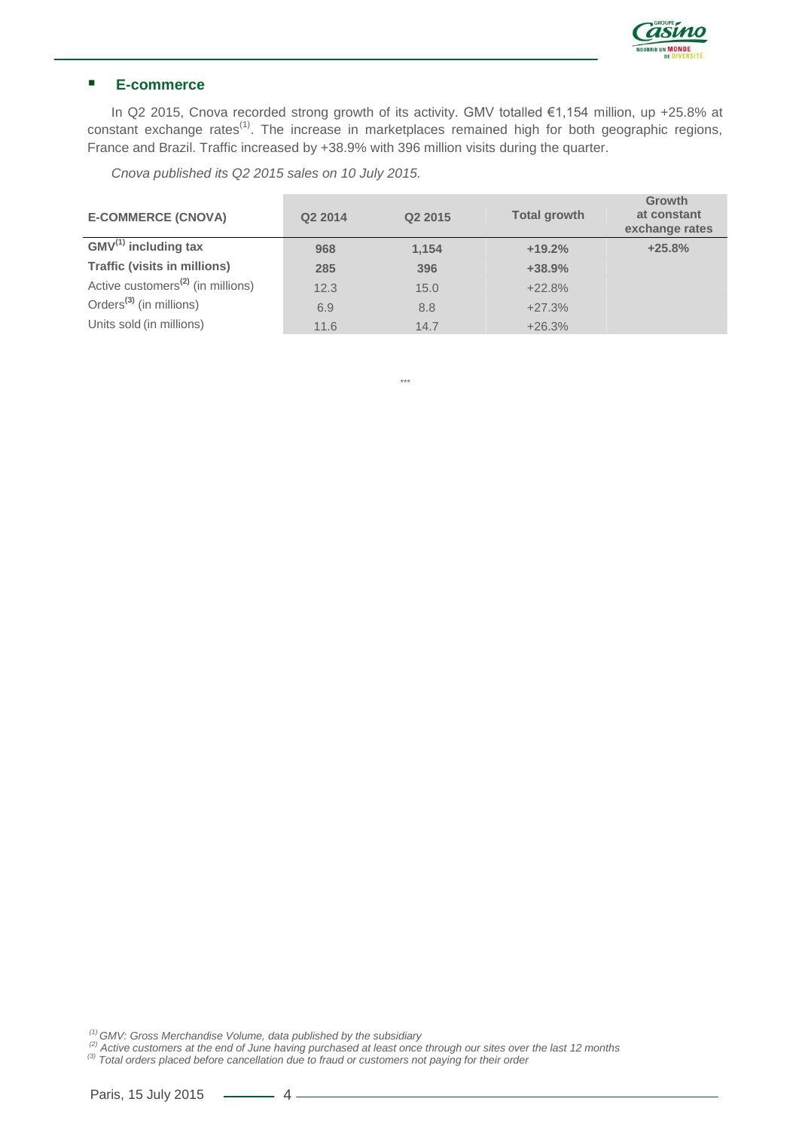

## **E-commerce**

In Q2 2015, Cnova recorded strong growth of its activity. GMV totalled €1,154 million, up +25.8% at constant exchange rates<sup>(1)</sup>. The increase in marketplaces remained high for both geographic regions, France and Brazil. Traffic increased by +38.9% with 396 million visits during the quarter.

*Cnova published its Q2 2015 sales on 10 July 2015.*

| <b>E-COMMERCE (CNOVA)</b>                     | Q2 2014 | Q2 2015 | <b>Total growth</b> | Growth<br>at constant<br>exchange rates |
|-----------------------------------------------|---------|---------|---------------------|-----------------------------------------|
| $GMV^{(1)}$ including tax                     | 968     | 1,154   | $+19.2%$            | $+25.8%$                                |
| <b>Traffic (visits in millions)</b>           | 285     | 396     | $+38.9%$            |                                         |
| Active customers <sup>(2)</sup> (in millions) | 12.3    | 15.0    | $+22.8%$            |                                         |
| Orders <sup>(3)</sup> (in millions)           | 6.9     | 8.8     | $+27.3%$            |                                         |
| Units sold (in millions)                      | 11.6    | 14.7    | $+26.3%$            |                                         |

*\*\*\**

*(1) GMV: Gross Merchandise Volume, data published by the subsidiary*

<sup>(2)</sup> Active customers at the end of June having purchased at least once through our sites over the last 12 months<br><sup>(3)</sup> Total orders placed before cancellation due to fraud or customers not paying for their order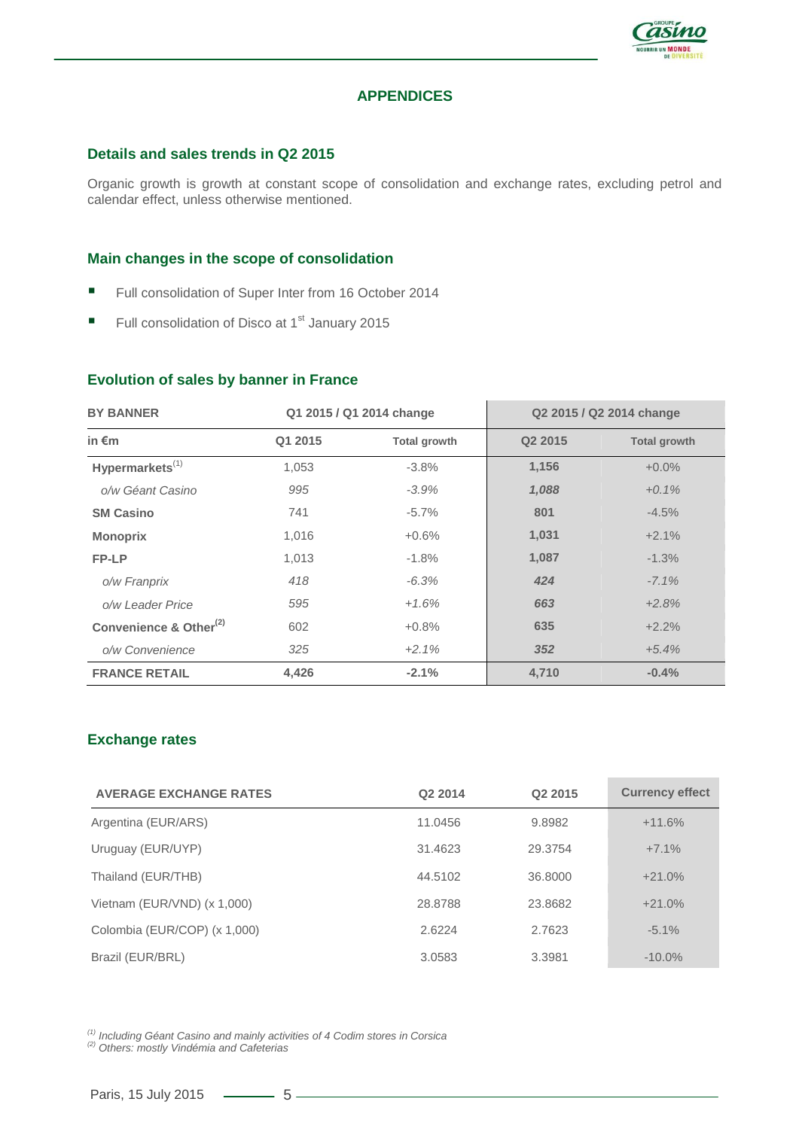

#### **APPENDICES**

#### **Details and sales trends in Q2 2015**

Organic growth is growth at constant scope of consolidation and exchange rates, excluding petrol and calendar effect, unless otherwise mentioned.

#### **Main changes in the scope of consolidation**

- Full consolidation of Super Inter from 16 October 2014
- Full consolidation of Disco at  $1<sup>st</sup>$  January 2015

#### **Evolution of sales by banner in France**

| <b>BY BANNER</b>                   | Q1 2015 / Q1 2014 change |              |                     |                     |  | Q2 2015 / Q2 2014 change |
|------------------------------------|--------------------------|--------------|---------------------|---------------------|--|--------------------------|
| in $\epsilon$ m                    | Q1 2015                  | Total growth | Q <sub>2</sub> 2015 | <b>Total growth</b> |  |                          |
| Hypermarkets $^{(1)}$              | 1,053                    | $-3.8%$      | 1,156               | $+0.0\%$            |  |                          |
| o/w Géant Casino                   | 995                      | $-3.9%$      | 1,088               | $+0.1\%$            |  |                          |
| <b>SM Casino</b>                   | 741                      | $-5.7\%$     | 801                 | $-4.5%$             |  |                          |
| <b>Monoprix</b>                    | 1,016                    | $+0.6%$      | 1,031               | $+2.1%$             |  |                          |
| FP-LP                              | 1,013                    | $-1.8%$      | 1,087               | $-1.3%$             |  |                          |
| o/w Franprix                       | 418                      | $-6.3\%$     | 424                 | $-7.1\%$            |  |                          |
| o/w Leader Price                   | 595                      | $+1.6%$      | 663                 | $+2.8%$             |  |                          |
| Convenience & Other <sup>(2)</sup> | 602                      | $+0.8%$      | 635                 | $+2.2%$             |  |                          |
| o/w Convenience                    | 325                      | $+2.1%$      | 352                 | $+5.4%$             |  |                          |
| <b>FRANCE RETAIL</b>               | 4,426                    | $-2.1%$      | 4.710               | $-0.4%$             |  |                          |

#### **Exchange rates**

| <b>AVERAGE EXCHANGE RATES</b> | Q2 2014 | Q <sub>2</sub> 2015 | <b>Currency effect</b> |
|-------------------------------|---------|---------------------|------------------------|
| Argentina (EUR/ARS)           | 11.0456 | 9.8982              | $+11.6%$               |
| Uruguay (EUR/UYP)             | 31.4623 | 29.3754             | $+7.1%$                |
| Thailand (EUR/THB)            | 44.5102 | 36.8000             | $+21.0%$               |
| Vietnam (EUR/VND) (x 1,000)   | 28.8788 | 23.8682             | $+21.0%$               |
| Colombia (EUR/COP) (x 1,000)  | 2.6224  | 2.7623              | $-5.1%$                |
| Brazil (EUR/BRL)              | 3.0583  | 3.3981              | $-10.0\%$              |

*(1) Including Géant Casino and mainly activities of 4 Codim stores in Corsica*

*(2) Others: mostly Vindémia and Cafeterias*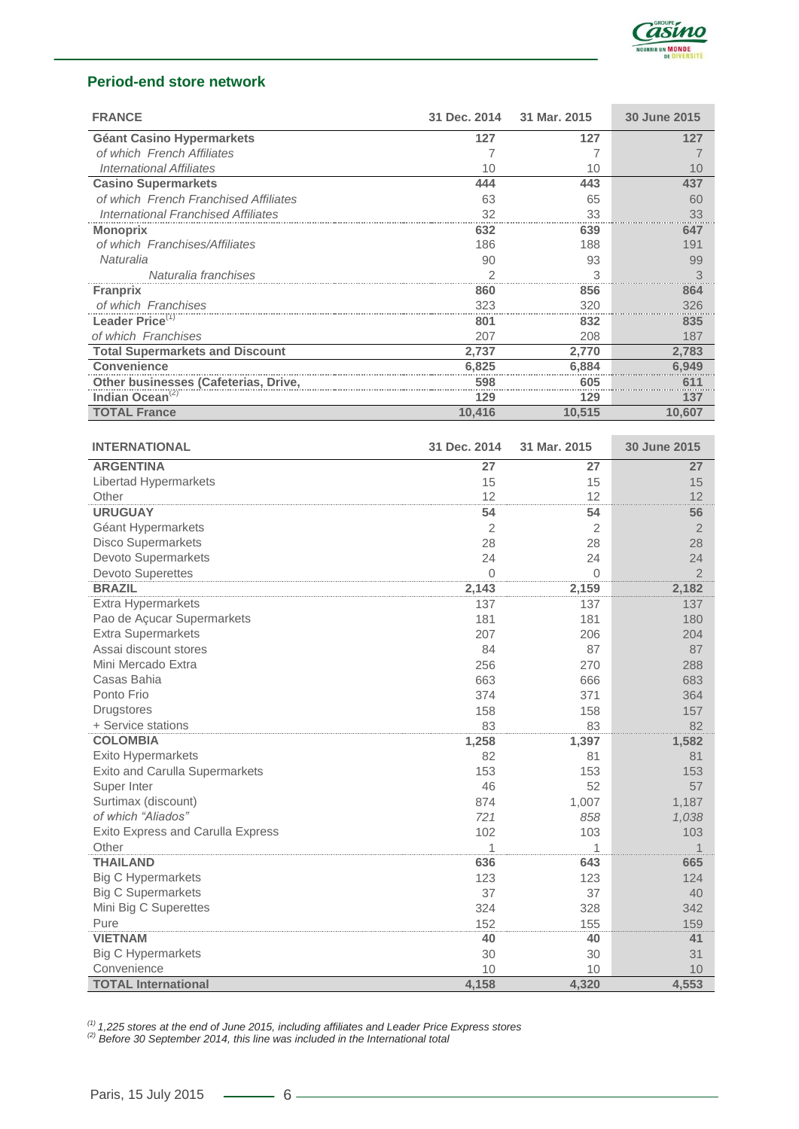

## **Period-end store network**

| <b>FRANCE</b>                          | 31 Dec. 2014 | 31 Mar. 2015 | 30 June 2015 |
|----------------------------------------|--------------|--------------|--------------|
| <b>Géant Casino Hypermarkets</b>       | 127          | 127          | 127          |
| of which French Affiliates             |              |              |              |
| International Affiliates               | 10           | 10           | 10           |
| <b>Casino Supermarkets</b>             | 444          | 443          | 437          |
| of which French Franchised Affiliates  | 63           | 65           | 60           |
| International Franchised Affiliates    | 32           | 33           | 33           |
| <b>Monoprix</b>                        | 632          | 639          | 647          |
| of which Franchises/Affiliates         | 186          | 188          | 191          |
| Naturalia                              | 90           | 93           | 99           |
| Naturalia franchises                   |              | 3            | 3            |
| <b>Franprix</b>                        | 860          | 856          | 864          |
| of which Franchises                    | 323          | 320          | 326          |
| Leader Price <sup>(1)</sup>            | 801          | 832          | 835          |
| of which Franchises                    | 207          | 208          | 187          |
| <b>Total Supermarkets and Discount</b> | 2,737        | 2.770        | 2,783        |
| <b>Convenience</b>                     | 6.825        | 6.884        | 6,949        |
| Other businesses (Cafeterias, Drive,   | 598          | 605          | 611          |
| Indian Ocean <sup>(2)</sup>            | 129          | 129          | 137          |
| <b>TOTAL France</b>                    | 10,416       | 10,515       | 10,607       |

| <b>INTERNATIONAL</b>                     | 31 Dec. 2014   | 31 Mar. 2015 | 30 June 2015   |
|------------------------------------------|----------------|--------------|----------------|
| <b>ARGENTINA</b>                         | 27             | 27           | 27             |
| Libertad Hypermarkets                    | 15             | 15           | 15             |
| Other                                    | 12             | 12           | 12             |
| <b>URUGUAY</b>                           | 54             | 54           | 56             |
| Géant Hypermarkets                       | $\overline{2}$ | 2            | $\overline{2}$ |
| <b>Disco Supermarkets</b>                | 28             | 28           | 28             |
| Devoto Supermarkets                      | 24             | 24           | 24             |
| <b>Devoto Superettes</b>                 | $\overline{0}$ | $\Omega$     | $\overline{2}$ |
| <b>BRAZIL</b>                            | 2,143          | 2,159        | 2,182          |
| <b>Extra Hypermarkets</b>                | 137            | 137          | 137            |
| Pao de Açucar Supermarkets               | 181            | 181          | 180            |
| <b>Extra Supermarkets</b>                | 207            | 206          | 204            |
| Assai discount stores                    | 84             | 87           | 87             |
| Mini Mercado Extra                       | 256            | 270          | 288            |
| Casas Bahia                              | 663            | 666          | 683            |
| Ponto Frio                               | 374            | 371          | 364            |
| <b>Drugstores</b>                        | 158            | 158          | 157            |
| + Service stations                       | 83             | 83           | 82             |
| <b>COLOMBIA</b>                          | 1,258          | 1,397        | 1,582          |
| Exito Hypermarkets                       | 82             | 81           | 81             |
| Exito and Carulla Supermarkets           | 153            | 153          | 153            |
| Super Inter                              | 46             | 52           | 57             |
| Surtimax (discount)                      | 874            | 1,007        | 1,187          |
| of which "Aliados"                       | 721            | 858          | 1,038          |
| <b>Exito Express and Carulla Express</b> | 102            | 103          | 103            |
| Other                                    | 1              | 1            | 1              |
| <b>THAILAND</b>                          | 636            | 643          | 665            |
| <b>Big C Hypermarkets</b>                | 123            | 123          | 124            |
| <b>Big C Supermarkets</b>                | 37             | 37           | 40             |
| Mini Big C Superettes                    | 324            | 328          | 342            |
| Pure                                     | 152            | 155          | 159            |
| <b>VIETNAM</b>                           | 40             | 40           | 41             |
| <b>Big C Hypermarkets</b>                | 30             | 30           | 31             |
| Convenience                              | 10             | 10           | 10             |
| <b>TOTAL International</b>               | 4,158          | 4,320        | 4,553          |

*(1) 1,225 stores at the end of June 2015, including affiliates and Leader Price Express stores*

*(2) Before 30 September 2014, this line was included in the International total*